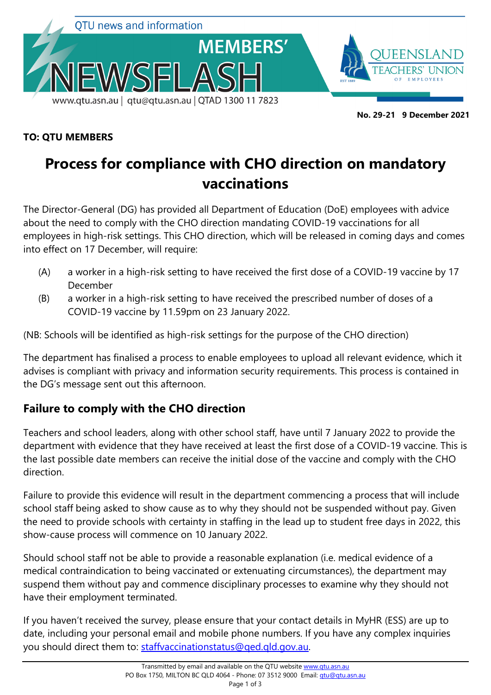

 **No. 29-21 9 December 2021**

#### **TO: QTU MEMBERS**

# **Process for compliance with CHO direction on mandatory vaccinations**

The Director-General (DG) has provided all Department of Education (DoE) employees with advice about the need to comply with the CHO direction mandating COVID-19 vaccinations for all employees in high-risk settings. This CHO direction, which will be released in coming days and comes into effect on 17 December, will require:

- (A) a worker in a high-risk setting to have received the first dose of a COVID-19 vaccine by 17 December
- (B) a worker in a high-risk setting to have received the prescribed number of doses of a COVID-19 vaccine by 11.59pm on 23 January 2022.

(NB: Schools will be identified as high-risk settings for the purpose of the CHO direction)

The department has finalised a process to enable employees to upload all relevant evidence, which it advises is compliant with privacy and information security requirements. This process is contained in the DG's message sent out this afternoon.

# **Failure to comply with the CHO direction**

Teachers and school leaders, along with other school staff, have until 7 January 2022 to provide the department with evidence that they have received at least the first dose of a COVID-19 vaccine. This is the last possible date members can receive the initial dose of the vaccine and comply with the CHO direction.

Failure to provide this evidence will result in the department commencing a process that will include school staff being asked to show cause as to why they should not be suspended without pay. Given the need to provide schools with certainty in staffing in the lead up to student free days in 2022, this show-cause process will commence on 10 January 2022.

Should school staff not be able to provide a reasonable explanation (i.e. medical evidence of a medical contraindication to being vaccinated or extenuating circumstances), the department may suspend them without pay and commence disciplinary processes to examine why they should not have their employment terminated.

If you haven't received the survey, please ensure that your contact details in MyHR (ESS) are up to date, including your personal email and mobile phone numbers. If you have any complex inquiries you should direct them to: [staffvaccinationstatus@qed.qld.gov.au.](mailto:staffvaccinationstatus@qed.qld.gov.au)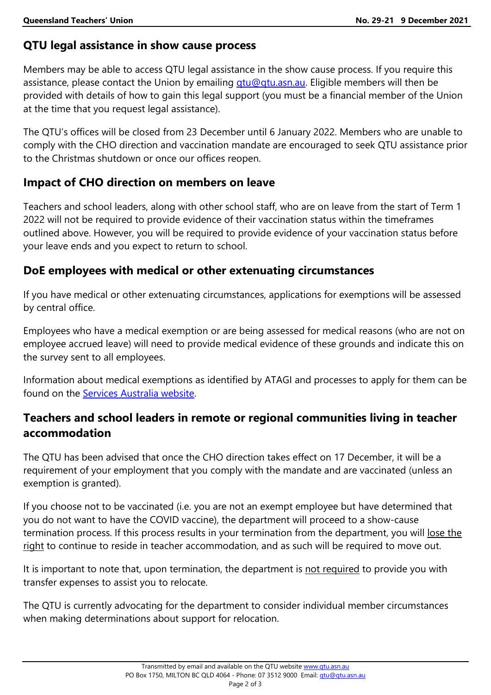### **QTU legal assistance in show cause process**

Members may be able to access QTU legal assistance in the show cause process. If you require this assistance, please contact the Union by emailing *gtu@gtu.asn.au*. Eligible members will then be provided with details of how to gain this legal support (you must be a financial member of the Union at the time that you request legal assistance).

The QTU's offices will be closed from 23 December until 6 January 2022. Members who are unable to comply with the CHO direction and vaccination mandate are encouraged to seek QTU assistance prior to the Christmas shutdown or once our offices reopen.

### **Impact of CHO direction on members on leave**

Teachers and school leaders, along with other school staff, who are on leave from the start of Term 1 2022 will not be required to provide evidence of their vaccination status within the timeframes outlined above. However, you will be required to provide evidence of your vaccination status before your leave ends and you expect to return to school.

### **DoE employees with medical or other extenuating circumstances**

If you have medical or other extenuating circumstances, applications for exemptions will be assessed by central office.

Employees who have a medical exemption or are being assessed for medical reasons (who are not on employee accrued leave) will need to provide medical evidence of these grounds and indicate this on the survey sent to all employees.

Information about medical exemptions as identified by ATAGI and processes to apply for them can be found on the [Services Australia website.](https://www.servicesaustralia.gov.au/organisations/health-professionals/forms/im011)

# **Teachers and school leaders in remote or regional communities living in teacher accommodation**

The QTU has been advised that once the CHO direction takes effect on 17 December, it will be a requirement of your employment that you comply with the mandate and are vaccinated (unless an exemption is granted).

If you choose not to be vaccinated (i.e. you are not an exempt employee but have determined that you do not want to have the COVID vaccine), the department will proceed to a show-cause termination process. If this process results in your termination from the department, you will lose the right to continue to reside in teacher accommodation, and as such will be required to move out.

It is important to note that, upon termination, the department is not required to provide you with transfer expenses to assist you to relocate.

The QTU is currently advocating for the department to consider individual member circumstances when making determinations about support for relocation.